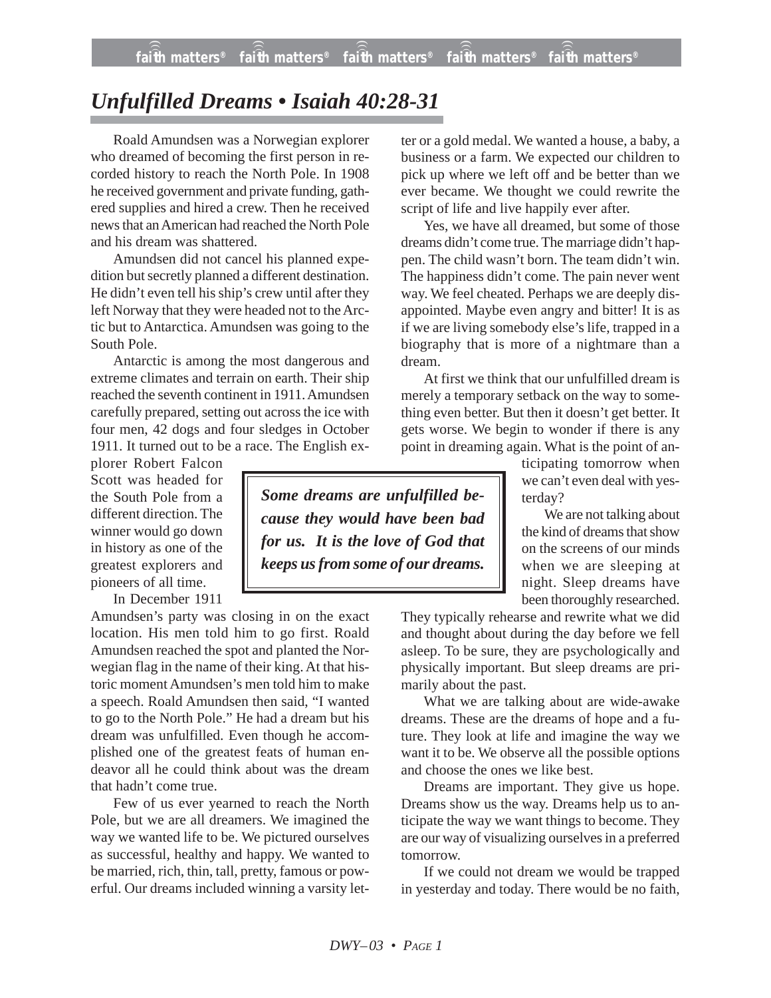## *Unfulfilled Dreams • Isaiah 40:28-31*

Roald Amundsen was a Norwegian explorer who dreamed of becoming the first person in recorded history to reach the North Pole. In 1908 he received government and private funding, gathered supplies and hired a crew. Then he received news that an American had reached the North Pole and his dream was shattered.

Amundsen did not cancel his planned expedition but secretly planned a different destination. He didn't even tell his ship's crew until after they left Norway that they were headed not to the Arctic but to Antarctica. Amundsen was going to the South Pole.

Antarctic is among the most dangerous and extreme climates and terrain on earth. Their ship reached the seventh continent in 1911. Amundsen carefully prepared, setting out across the ice with four men, 42 dogs and four sledges in October 1911. It turned out to be a race. The English ex-

plorer Robert Falcon Scott was headed for the South Pole from a different direction. The winner would go down in history as one of the greatest explorers and pioneers of all time.

In December 1911

Amundsen's party was closing in on the exact location. His men told him to go first. Roald Amundsen reached the spot and planted the Norwegian flag in the name of their king. At that historic moment Amundsen's men told him to make a speech. Roald Amundsen then said, "I wanted to go to the North Pole." He had a dream but his dream was unfulfilled. Even though he accomplished one of the greatest feats of human endeavor all he could think about was the dream that hadn't come true.

Few of us ever yearned to reach the North Pole, but we are all dreamers. We imagined the way we wanted life to be. We pictured ourselves as successful, healthy and happy. We wanted to be married, rich, thin, tall, pretty, famous or powerful. Our dreams included winning a varsity letter or a gold medal. We wanted a house, a baby, a business or a farm. We expected our children to pick up where we left off and be better than we ever became. We thought we could rewrite the script of life and live happily ever after.

Yes, we have all dreamed, but some of those dreams didn't come true. The marriage didn't happen. The child wasn't born. The team didn't win. The happiness didn't come. The pain never went way. We feel cheated. Perhaps we are deeply disappointed. Maybe even angry and bitter! It is as if we are living somebody else's life, trapped in a biography that is more of a nightmare than a dream.

At first we think that our unfulfilled dream is merely a temporary setback on the way to something even better. But then it doesn't get better. It gets worse. We begin to wonder if there is any point in dreaming again. What is the point of an-

ticipating tomorrow when we can't even deal with yesterday?

We are not talking about the kind of dreams that show on the screens of our minds when we are sleeping at night. Sleep dreams have been thoroughly researched.

They typically rehearse and rewrite what we did and thought about during the day before we fell asleep. To be sure, they are psychologically and physically important. But sleep dreams are primarily about the past.

What we are talking about are wide-awake dreams. These are the dreams of hope and a future. They look at life and imagine the way we want it to be. We observe all the possible options and choose the ones we like best.

Dreams are important. They give us hope. Dreams show us the way. Dreams help us to anticipate the way we want things to become. They are our way of visualizing ourselves in a preferred tomorrow.

If we could not dream we would be trapped in yesterday and today. There would be no faith,

*Some dreams are unfulfilled because they would have been bad for us. It is the love of God that keeps us from some of our dreams.*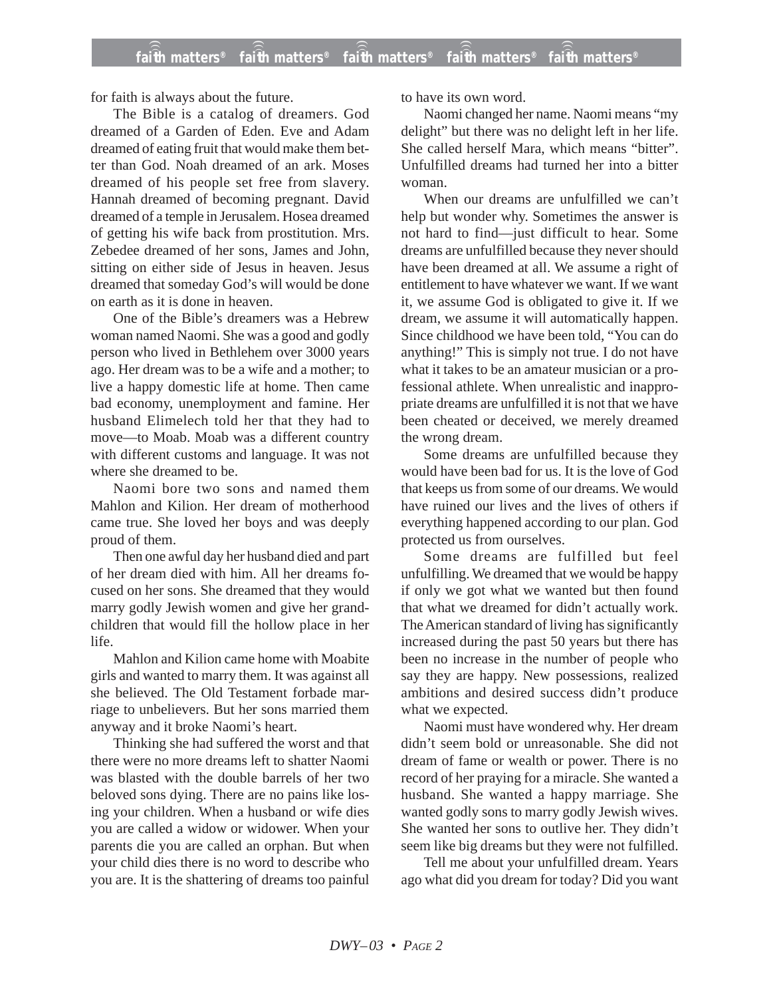for faith is always about the future.

The Bible is a catalog of dreamers. God dreamed of a Garden of Eden. Eve and Adam dreamed of eating fruit that would make them better than God. Noah dreamed of an ark. Moses dreamed of his people set free from slavery. Hannah dreamed of becoming pregnant. David dreamed of a temple in Jerusalem. Hosea dreamed of getting his wife back from prostitution. Mrs. Zebedee dreamed of her sons, James and John, sitting on either side of Jesus in heaven. Jesus dreamed that someday God's will would be done on earth as it is done in heaven.

One of the Bible's dreamers was a Hebrew woman named Naomi. She was a good and godly person who lived in Bethlehem over 3000 years ago. Her dream was to be a wife and a mother; to live a happy domestic life at home. Then came bad economy, unemployment and famine. Her husband Elimelech told her that they had to move—to Moab. Moab was a different country with different customs and language. It was not where she dreamed to be.

Naomi bore two sons and named them Mahlon and Kilion. Her dream of motherhood came true. She loved her boys and was deeply proud of them.

Then one awful day her husband died and part of her dream died with him. All her dreams focused on her sons. She dreamed that they would marry godly Jewish women and give her grandchildren that would fill the hollow place in her life.

Mahlon and Kilion came home with Moabite girls and wanted to marry them. It was against all she believed. The Old Testament forbade marriage to unbelievers. But her sons married them anyway and it broke Naomi's heart.

Thinking she had suffered the worst and that there were no more dreams left to shatter Naomi was blasted with the double barrels of her two beloved sons dying. There are no pains like losing your children. When a husband or wife dies you are called a widow or widower. When your parents die you are called an orphan. But when your child dies there is no word to describe who you are. It is the shattering of dreams too painful to have its own word.

Naomi changed her name. Naomi means "my delight" but there was no delight left in her life. She called herself Mara, which means "bitter". Unfulfilled dreams had turned her into a bitter woman.

When our dreams are unfulfilled we can't help but wonder why. Sometimes the answer is not hard to find—just difficult to hear. Some dreams are unfulfilled because they never should have been dreamed at all. We assume a right of entitlement to have whatever we want. If we want it, we assume God is obligated to give it. If we dream, we assume it will automatically happen. Since childhood we have been told, "You can do anything!" This is simply not true. I do not have what it takes to be an amateur musician or a professional athlete. When unrealistic and inappropriate dreams are unfulfilled it is not that we have been cheated or deceived, we merely dreamed the wrong dream.

Some dreams are unfulfilled because they would have been bad for us. It is the love of God that keeps us from some of our dreams. We would have ruined our lives and the lives of others if everything happened according to our plan. God protected us from ourselves.

Some dreams are fulfilled but feel unfulfilling. We dreamed that we would be happy if only we got what we wanted but then found that what we dreamed for didn't actually work. The American standard of living has significantly increased during the past 50 years but there has been no increase in the number of people who say they are happy. New possessions, realized ambitions and desired success didn't produce what we expected.

Naomi must have wondered why. Her dream didn't seem bold or unreasonable. She did not dream of fame or wealth or power. There is no record of her praying for a miracle. She wanted a husband. She wanted a happy marriage. She wanted godly sons to marry godly Jewish wives. She wanted her sons to outlive her. They didn't seem like big dreams but they were not fulfilled.

Tell me about your unfulfilled dream. Years ago what did you dream for today? Did you want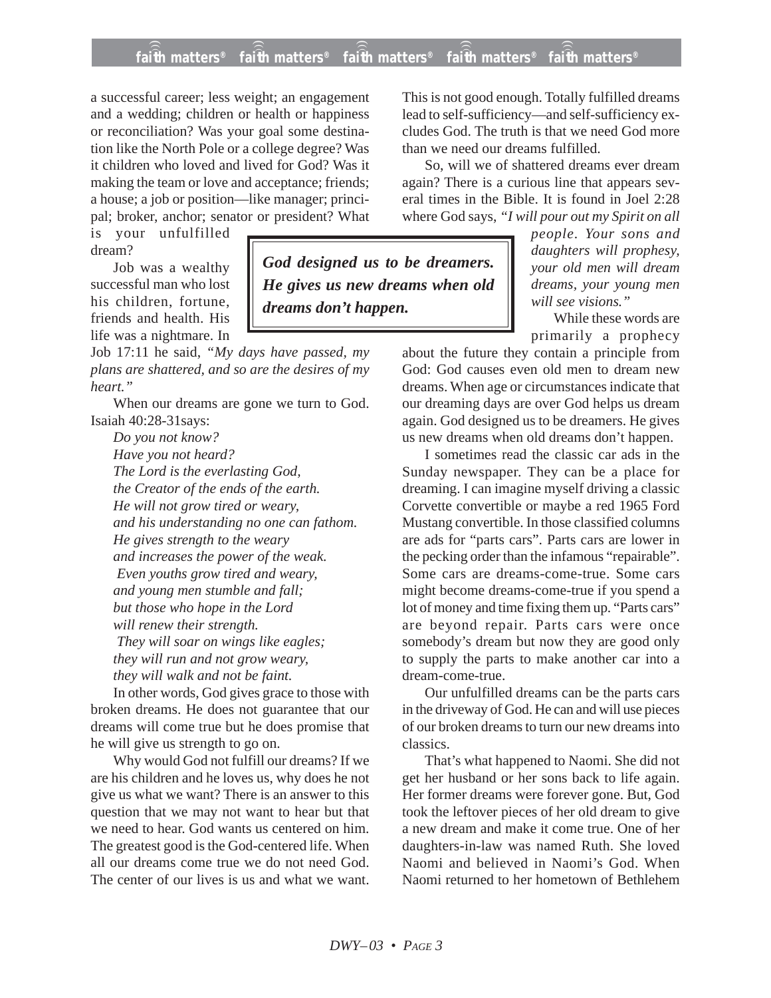## **faith matters® faith matters® faith matters® faith matters® faith matters®** ))) ))) ))) ))) )))

*God designed us to be dreamers. He gives us new dreams when old*

*dreams don't happen.*

a successful career; less weight; an engagement and a wedding; children or health or happiness or reconciliation? Was your goal some destination like the North Pole or a college degree? Was it children who loved and lived for God? Was it making the team or love and acceptance; friends; a house; a job or position—like manager; principal; broker, anchor; senator or president? What

is your unfulfilled dream?

Job was a wealthy successful man who lost his children, fortune, friends and health. His life was a nightmare. In

Job 17:11 he said, *"My days have passed, my plans are shattered, and so are the desires of my heart."*

When our dreams are gone we turn to God. Isaiah 40:28-31says:

*Do you not know? Have you not heard? The Lord is the everlasting God, the Creator of the ends of the earth. He will not grow tired or weary, and his understanding no one can fathom. He gives strength to the weary and increases the power of the weak. Even youths grow tired and weary, and young men stumble and fall; but those who hope in the Lord will renew their strength. They will soar on wings like eagles; they will run and not grow weary, they will walk and not be faint.*

In other words, God gives grace to those with broken dreams. He does not guarantee that our dreams will come true but he does promise that he will give us strength to go on.

Why would God not fulfill our dreams? If we are his children and he loves us, why does he not give us what we want? There is an answer to this question that we may not want to hear but that we need to hear. God wants us centered on him. The greatest good is the God-centered life. When all our dreams come true we do not need God. The center of our lives is us and what we want. This is not good enough. Totally fulfilled dreams lead to self-sufficiency—and self-sufficiency excludes God. The truth is that we need God more than we need our dreams fulfilled.

So, will we of shattered dreams ever dream again? There is a curious line that appears several times in the Bible. It is found in Joel 2:28 where God says, *"I will pour out my Spirit on all*

> *people. Your sons and daughters will prophesy, your old men will dream dreams, your young men will see visions."*

> While these words are primarily a prophecy

about the future they contain a principle from God: God causes even old men to dream new dreams. When age or circumstances indicate that our dreaming days are over God helps us dream again. God designed us to be dreamers. He gives us new dreams when old dreams don't happen.

I sometimes read the classic car ads in the Sunday newspaper. They can be a place for dreaming. I can imagine myself driving a classic Corvette convertible or maybe a red 1965 Ford Mustang convertible. In those classified columns are ads for "parts cars". Parts cars are lower in the pecking order than the infamous "repairable". Some cars are dreams-come-true. Some cars might become dreams-come-true if you spend a lot of money and time fixing them up. "Parts cars" are beyond repair. Parts cars were once somebody's dream but now they are good only to supply the parts to make another car into a dream-come-true.

Our unfulfilled dreams can be the parts cars in the driveway of God. He can and will use pieces of our broken dreams to turn our new dreams into classics.

That's what happened to Naomi. She did not get her husband or her sons back to life again. Her former dreams were forever gone. But, God took the leftover pieces of her old dream to give a new dream and make it come true. One of her daughters-in-law was named Ruth. She loved Naomi and believed in Naomi's God. When Naomi returned to her hometown of Bethlehem